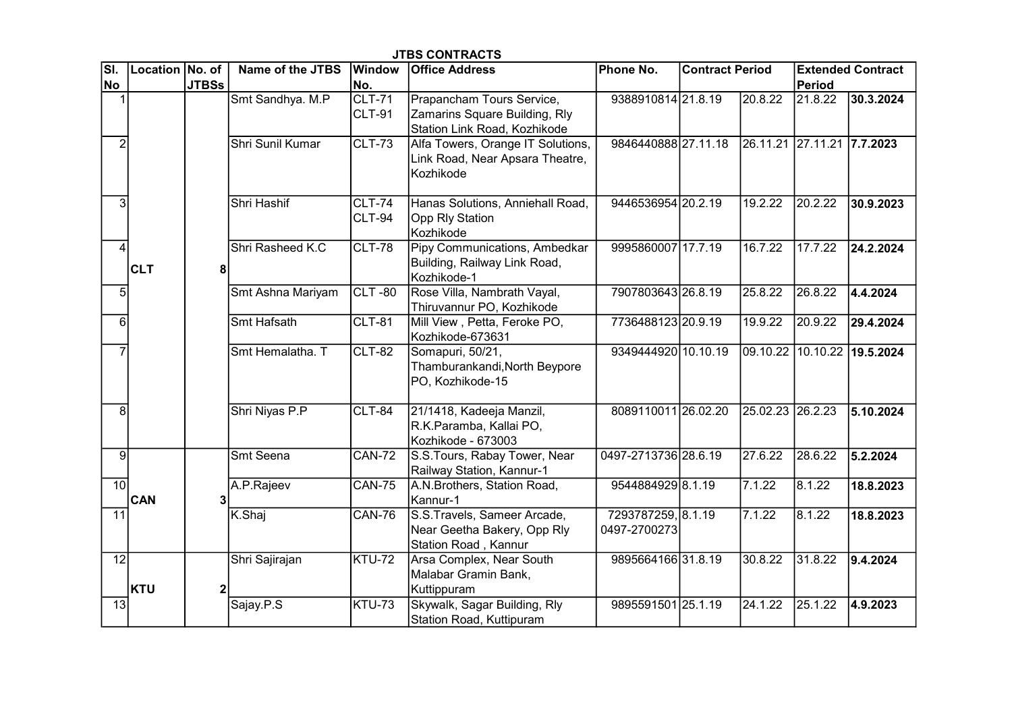| $\overline{\mathsf{SI}.}$ | Location No. of |              | Name of the JTBS  | <b>Window</b>                  | ט ו טאוו ווער טע<br><b>Office Address</b>                                                  | Phone No.                          | <b>Contract Period</b> |                            |                  | <b>Extended Contract</b>    |
|---------------------------|-----------------|--------------|-------------------|--------------------------------|--------------------------------------------------------------------------------------------|------------------------------------|------------------------|----------------------------|------------------|-----------------------------|
| No                        |                 | <b>JTBSs</b> |                   | No.                            |                                                                                            |                                    |                        |                            | Period           |                             |
| $\mathbf{1}$              | <b>CLT</b>      |              | Smt Sandhya. M.P  | CLT-71<br>CLT-91               | Prapancham Tours Service,<br>Zamarins Square Building, Rly<br>Station Link Road, Kozhikode | 9388910814 21.8.19                 |                        | 20.8.22                    | 21.8.22          | 30.3.2024                   |
| $\overline{2}$            |                 |              | Shri Sunil Kumar  | <b>CLT-73</b>                  | Alfa Towers, Orange IT Solutions,<br>Link Road, Near Apsara Theatre,<br>Kozhikode          | 9846440888 27.11.18                |                        | 26.11.21 27.11.21 7.7.2023 |                  |                             |
| 3                         |                 |              | Shri Hashif       | <b>CLT-74</b><br><b>CLT-94</b> | Hanas Solutions, Anniehall Road,<br>Opp Rly Station<br>Kozhikode                           | 9446536954 20.2.19                 |                        | 19.2.22                    | 20.2.22          | 30.9.2023                   |
| $\overline{4}$            |                 | 8            | Shri Rasheed K.C  | <b>CLT-78</b>                  | Pipy Communications, Ambedkar<br>Building, Railway Link Road,<br>Kozhikode-1               | 9995860007 17.7.19                 |                        | 16.7.22                    | 17.7.22          | 24.2.2024                   |
| 5                         |                 |              | Smt Ashna Mariyam | $CLT - 80$                     | Rose Villa, Nambrath Vayal,<br>Thiruvannur PO, Kozhikode                                   | 7907803643 26.8.19                 |                        | 25.8.22                    | 26.8.22          | 4.4.2024                    |
| $6 \overline{6}$          |                 |              | Smt Hafsath       | $CLT-81$                       | Mill View, Petta, Feroke PO,<br>Kozhikode-673631                                           | 7736488123 20.9.19                 |                        | 19.9.22                    | 20.9.22          | 29.4.2024                   |
| $\overline{7}$            |                 |              | Smt Hemalatha. T  | <b>CLT-82</b>                  | Somapuri, 50/21,<br>Thamburankandi, North Beypore<br>PO, Kozhikode-15                      | 9349444920 10.10.19                |                        |                            |                  | 09.10.22 10.10.22 19.5.2024 |
| 8                         |                 |              | Shri Niyas P.P    | <b>CLT-84</b>                  | 21/1418, Kadeeja Manzil,<br>R.K.Paramba, Kallai PO,<br>Kozhikode - 673003                  | 8089110011 26.02.20                |                        | 25.02.23 26.2.23           |                  | 5.10.2024                   |
| 9                         | <b>CAN</b>      |              | Smt Seena         | <b>CAN-72</b>                  | S.S.Tours, Rabay Tower, Near<br>Railway Station, Kannur-1                                  | 0497-2713736 28.6.19               |                        | 27.6.22                    | 28.6.22          | 5.2.2024                    |
| 10 <sup>1</sup>           |                 | $\mathbf{3}$ | A.P.Rajeev        | $\overline{CAN}$ -75           | A.N.Brothers, Station Road,<br>Kannur-1                                                    | 9544884929 8.1.19                  |                        | 7.1.22                     | $\sqrt{8.1.22}$  | 18.8.2023                   |
| 11                        |                 |              | K.Shaj            | <b>CAN-76</b>                  | S.S.Travels, Sameer Arcade,<br>Near Geetha Bakery, Opp Rly<br>Station Road, Kannur         | 7293787259, 8.1.19<br>0497-2700273 |                        | 7.1.22                     | 8.1.22           | 18.8.2023                   |
| 12                        | KTU             |              | Shri Sajirajan    | KTU-72                         | Arsa Complex, Near South<br>Malabar Gramin Bank,                                           | 9895664166 31.8.19                 |                        | 30.8.22                    | $\sqrt{31.8.22}$ | 9.4.2024                    |
| $\overline{13}$           |                 |              | Sajay.P.S         | KTU-73                         | Kuttippuram<br>Skywalk, Sagar Building, Rly<br>Station Road, Kuttipuram                    | 9895591501 25.1.19                 |                        | $\sqrt{24.1.22}$           | 25.1.22          | $\sqrt{4.9.2023}$           |

JTBS CONTRACTS